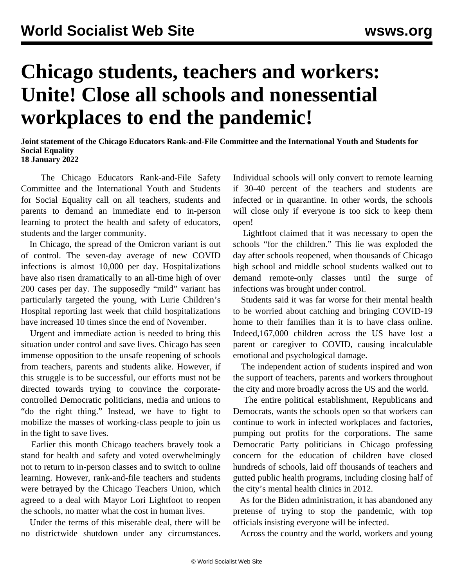## **Chicago students, teachers and workers: Unite! Close all schools and nonessential workplaces to end the pandemic!**

**Joint statement of the Chicago Educators Rank-and-File Committee and the International Youth and Students for Social Equality 18 January 2022**

 The Chicago Educators Rank-and-File Safety Committee and the International Youth and Students for Social Equality call on all teachers, students and parents to demand an immediate end to in-person learning to protect the health and safety of educators, students and the larger community.

 In Chicago, the spread of the Omicron variant is out of control. The seven-day average of new COVID infections is almost 10,000 per day. Hospitalizations have also risen dramatically to an all-time high of over 200 cases per day. The supposedly "mild" variant has particularly targeted the young, with Lurie Children's Hospital reporting last week that child hospitalizations have increased 10 times since the end of November.

 Urgent and immediate action is needed to bring this situation under control and save lives. Chicago has seen immense opposition to the unsafe reopening of schools from teachers, parents and students alike. However, if this struggle is to be successful, our efforts must not be directed towards trying to convince the corporatecontrolled Democratic politicians, media and unions to "do the right thing." Instead, we have to fight to mobilize the masses of working-class people to join us in the fight to save lives.

 Earlier this month Chicago teachers bravely took a stand for health and safety and voted overwhelmingly not to return to in-person classes and to switch to online learning. However, rank-and-file teachers and students were betrayed by the Chicago Teachers Union, which agreed to a deal with Mayor Lori Lightfoot to reopen the schools, no matter what the cost in human lives.

 Under the terms of this miserable deal, there will be no districtwide shutdown under any circumstances. Individual schools will only convert to remote learning if 30-40 percent of the teachers and students are infected or in quarantine. In other words, the schools will close only if everyone is too sick to keep them open!

 Lightfoot claimed that it was necessary to open the schools "for the children." This lie was exploded the day after schools reopened, when thousands of Chicago high school and middle school students walked out to demand remote-only classes until the surge of infections was brought under control.

 Students said it was far worse for their mental health to be worried about catching and bringing COVID-19 home to their families than it is to have class online. Indeed,167,000 children across the US have lost a parent or caregiver to COVID, causing incalculable emotional and psychological damage.

 The independent action of students inspired and won the support of teachers, parents and workers throughout the city and more broadly across the US and the world.

 The entire political establishment, Republicans and Democrats, wants the schools open so that workers can continue to work in infected workplaces and factories, pumping out profits for the corporations. The same Democratic Party politicians in Chicago professing concern for the education of children have closed hundreds of schools, laid off thousands of teachers and gutted public health programs, including closing half of the city's mental health clinics in 2012.

 As for the Biden administration, it has abandoned any pretense of trying to stop the pandemic, with top officials insisting everyone will be infected.

Across the country and the world, workers and young